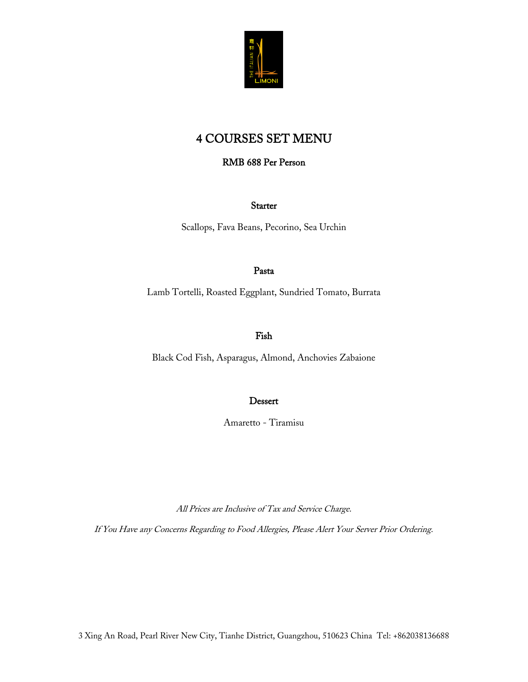

# 4 COURSES SET MENU

### RMB 688 Per Person

**Starter** 

Scallops, Fava Beans, Pecorino, Sea Urchin

#### Pasta

Lamb Tortelli, Roasted Eggplant, Sundried Tomato, Burrata

#### Fish

Black Cod Fish, Asparagus, Almond, Anchovies Zabaione

#### Dessert

Amaretto - Tiramisu

All Prices are Inclusive of Tax and Service Charge.

If You Have any Concerns Regarding to Food Allergies, Please Alert Your Server Prior Ordering.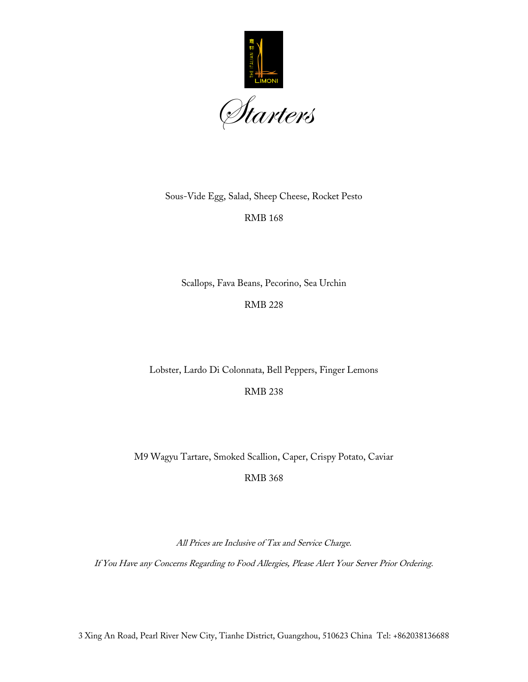

Sous-Vide Egg, Salad, Sheep Cheese, Rocket Pesto

RMB 168

Scallops, Fava Beans, Pecorino, Sea Urchin

RMB 228

Lobster, Lardo Di Colonnata, Bell Peppers, Finger Lemons

RMB 238

M9 Wagyu Tartare, Smoked Scallion, Caper, Crispy Potato, Caviar

RMB 368

All Prices are Inclusive of Tax and Service Charge.

If You Have any Concerns Regarding to Food Allergies, Please Alert Your Server Prior Ordering.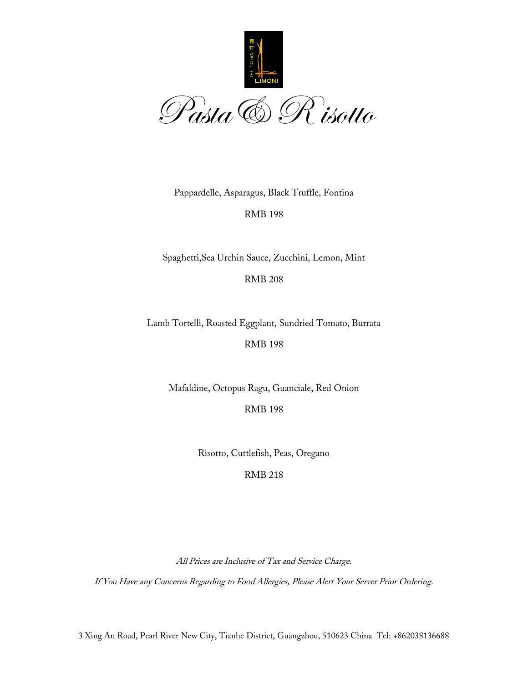

Pappardelle, Asparagus, Black Truffle, Fontina

RMB 198

Spaghetti,Sea Urchin Sauce, Zucchini, Lemon, Mint

RMB 208

Lamb Tortelli, Roasted Eggplant, Sundried Tomato, Burrata

RMB 198

Mafaldine, Octopus Ragu, Guanciale, Red Onion

RMB 198

Risotto, Cuttlefish, Peas, Oregano

RMB 218

All Prices are Inclusive of Tax and Service Charge.

If You Have any Concerns Regarding to Food Allergies, Please Alert Your Server Prior Ordering.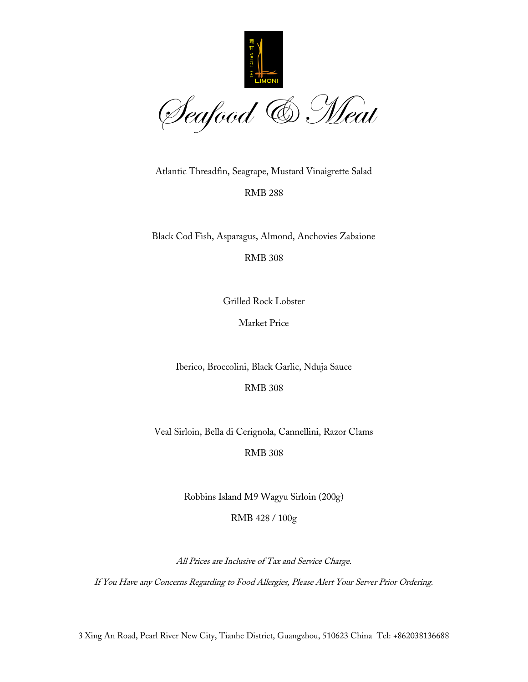

Atlantic Threadfin, Seagrape, Mustard Vinaigrette Salad

RMB 288

Black Cod Fish, Asparagus, Almond, Anchovies Zabaione

RMB 308

Grilled Rock Lobster

Market Price

Iberico, Broccolini, Black Garlic, Nduja Sauce

RMB 308

Veal Sirloin, Bella di Cerignola, Cannellini, Razor Clams

RMB 308

Robbins Island M9 Wagyu Sirloin (200g)

RMB 428 / 100g

All Prices are Inclusive of Tax and Service Charge.

If You Have any Concerns Regarding to Food Allergies, Please Alert Your Server Prior Ordering.